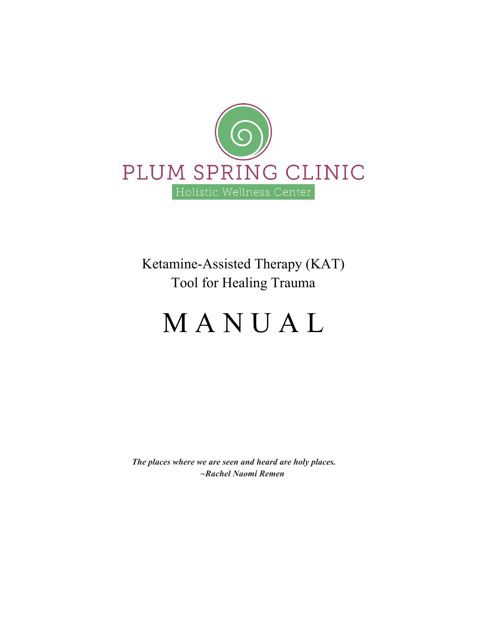

Ketamine-Assisted Therapy (KAT) Tool for Healing Trauma

# **MANUAL**

 *The places where we are seen and heard are holy places. ~Rachel Naomi Remen*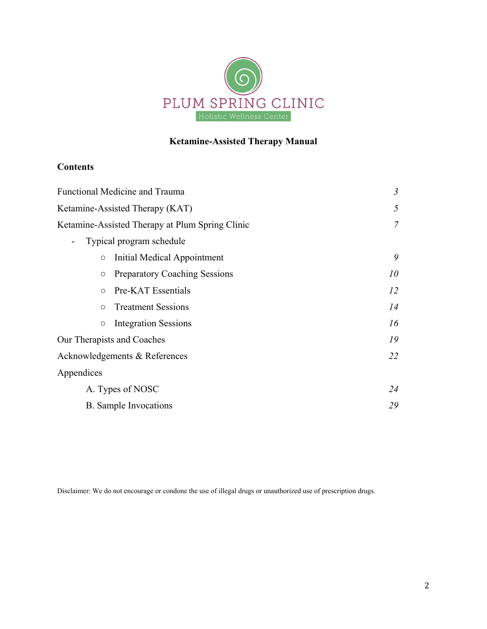

# **Ketamine-Assisted Therapy Manual**

# **Contents**

| Functional Medicine and Trauma                     | $\mathfrak{Z}$ |
|----------------------------------------------------|----------------|
| Ketamine-Assisted Therapy (KAT)                    | 5              |
| Ketamine-Assisted Therapy at Plum Spring Clinic    | $\overline{7}$ |
| Typical program schedule<br>۰                      |                |
| Initial Medical Appointment<br>$\circ$             | 9              |
| <b>Preparatory Coaching Sessions</b><br>$\circ$    | 10             |
| Pre-KAT Essentials<br>$\circ$                      | 12             |
| <b>Treatment Sessions</b><br>$\circ$               | 14             |
| <b>Integration Sessions</b><br>$\circlearrowright$ | 16             |
| Our Therapists and Coaches                         | 19             |
| Acknowledgements & References                      | 22             |
| Appendices                                         |                |
| A. Types of NOSC                                   | 24             |
| B. Sample Invocations                              | 29             |

Disclaimer: We do not encourage or condone the use of illegal drugs or unauthorized use of prescription drugs.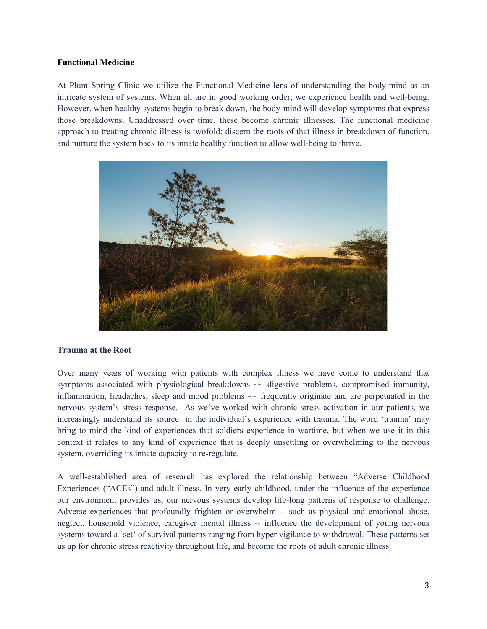# **Functional Medicine**

At Plum Spring Clinic we utilize the Functional Medicine lens of understanding the body-mind as an intricate system of systems. When all are in good working order, we experience health and well-being. However, when healthy systems begin to break down, the body-mind will develop symptoms that express those breakdowns. Unaddressed over time, these become chronic illnesses. The functional medicine approach to treating chronic illness is twofold: discern the roots of that illness in breakdown of function, and nurture the system back to its innate healthy function to allow well-being to thrive.



# **Trauma at the Root**

Over many years of working with patients with complex illness we have come to understand that symptoms associated with physiological breakdowns  $\sim$  digestive problems, compromised immunity, inflammation, headaches, sleep and mood problems  $\sim$  frequently originate and are perpetuated in the nervous system's stress response. As we've worked with chronic stress activation in our patients, we increasingly understand its source in the individual's experience with trauma. The word 'trauma' may bring to mind the kind of experiences that soldiers experience in wartime, but when we use it in this context it relates to any kind of experience that is deeply unsettling or overwhelming to the nervous system, overriding its innate capacity to re-regulate.

A well-established area of research has explored the relationship between "Adverse Childhood Experiences ("ACEs") and adult illness. In very early childhood, under the influence of the experience our environment provides us, our nervous systems develop life-long patterns of response to challenge. Adverse experiences that profoundly frighten or overwhelm -- such as physical and emotional abuse, neglect, household violence, caregiver mental illness -- influence the development of young nervous systems toward a 'set' of survival patterns ranging from hyper vigilance to withdrawal. These patterns set us up for chronic stress reactivity throughout life, and become the roots of adult chronic illness.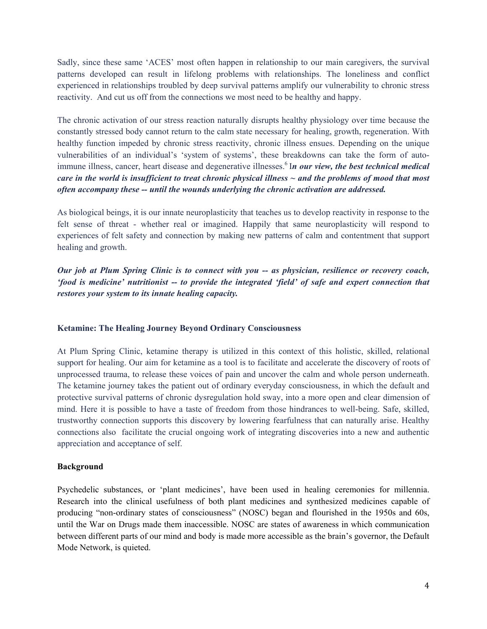Sadly, since these same 'ACES' most often happen in relationship to our main caregivers, the survival patterns developed can result in lifelong problems with relationships. The loneliness and conflict experienced in relationships troubled by deep survival patterns amplify our vulnerability to chronic stress reactivity. And cut us off from the connections we most need to be healthy and happy.

The chronic activation of our stress reaction naturally disrupts healthy physiology over time because the constantly stressed body cannot return to the calm state necessary for healing, growth, regeneration. With healthy function impeded by chronic stress reactivity, chronic illness ensues. Depending on the unique vulnerabilities of an individual's 'system of systems', these breakdowns can take the form of autoimmune illness, cancer, heart disease and degenerative illnesses.<sup>6</sup> In our view, the best technical medical *care in the world is insufficient to treat chronic physical illness ~ and the problems of mood that most often accompany these -- until the wounds underlying the chronic activation are addressed.*

As biological beings, it is our innate neuroplasticity that teaches us to develop reactivity in response to the felt sense of threat - whether real or imagined. Happily that same neuroplasticity will respond to experiences of felt safety and connection by making new patterns of calm and contentment that support healing and growth.

*Our job at Plum Spring Clinic is to connect with you -- as physician, resilience or recovery coach, 'food is medicine' nutritionist -- to provide the integrated 'field' of safe and expert connection that restores your system to its innate healing capacity.*

# **Ketamine: The Healing Journey Beyond Ordinary Consciousness**

At Plum Spring Clinic, ketamine therapy is utilized in this context of this holistic, skilled, relational support for healing. Our aim for ketamine as a tool is to facilitate and accelerate the discovery of roots of unprocessed trauma, to release these voices of pain and uncover the calm and whole person underneath. The ketamine journey takes the patient out of ordinary everyday consciousness, in which the default and protective survival patterns of chronic dysregulation hold sway, into a more open and clear dimension of mind. Here it is possible to have a taste of freedom from those hindrances to well-being. Safe, skilled, trustworthy connection supports this discovery by lowering fearfulness that can naturally arise. Healthy connections also facilitate the crucial ongoing work of integrating discoveries into a new and authentic appreciation and acceptance of self.

## **Background**

Psychedelic substances, or 'plant medicines', have been used in healing ceremonies for millennia. Research into the clinical usefulness of both plant medicines and synthesized medicines capable of producing "non-ordinary states of consciousness" (NOSC) began and flourished in the 1950s and 60s, until the War on Drugs made them inaccessible. NOSC are states of awareness in which communication between different parts of our mind and body is made more accessible as the brain's governor, the Default Mode Network, is quieted.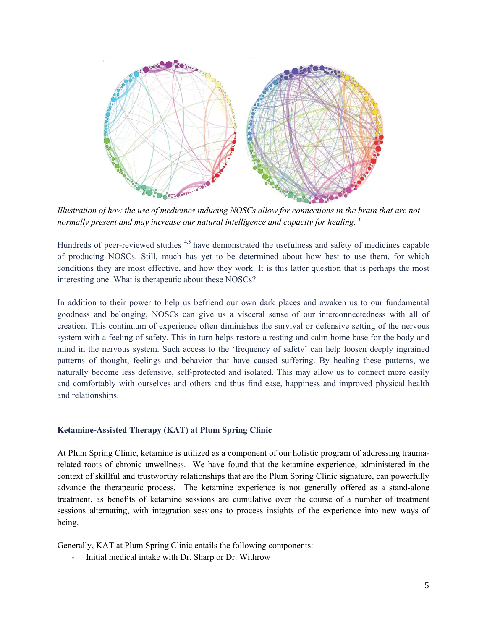

*Illustration of how the use of medicines inducing NOSCs allow for connections in the brain that are not normally present and may increase our natural intelligence and capacity for healing. 1*

Hundreds of peer-reviewed studies <sup>4,5</sup> have demonstrated the usefulness and safety of medicines capable of producing NOSCs. Still, much has yet to be determined about how best to use them, for which conditions they are most effective, and how they work. It is this latter question that is perhaps the most interesting one. What is therapeutic about these NOSCs?

In addition to their power to help us befriend our own dark places and awaken us to our fundamental goodness and belonging, NOSCs can give us a visceral sense of our interconnectedness with all of creation. This continuum of experience often diminishes the survival or defensive setting of the nervous system with a feeling of safety. This in turn helps restore a resting and calm home base for the body and mind in the nervous system. Such access to the 'frequency of safety' can help loosen deeply ingrained patterns of thought, feelings and behavior that have caused suffering. By healing these patterns, we naturally become less defensive, self-protected and isolated. This may allow us to connect more easily and comfortably with ourselves and others and thus find ease, happiness and improved physical health and relationships.

# **Ketamine-Assisted Therapy (KAT) at Plum Spring Clinic**

At Plum Spring Clinic, ketamine is utilized as a component of our holistic program of addressing traumarelated roots of chronic unwellness. We have found that the ketamine experience, administered in the context of skillful and trustworthy relationships that are the Plum Spring Clinic signature, can powerfully advance the therapeutic process. The ketamine experience is not generally offered as a stand-alone treatment, as benefits of ketamine sessions are cumulative over the course of a number of treatment sessions alternating, with integration sessions to process insights of the experience into new ways of being.

Generally, KAT at Plum Spring Clinic entails the following components:

- Initial medical intake with Dr. Sharp or Dr. Withrow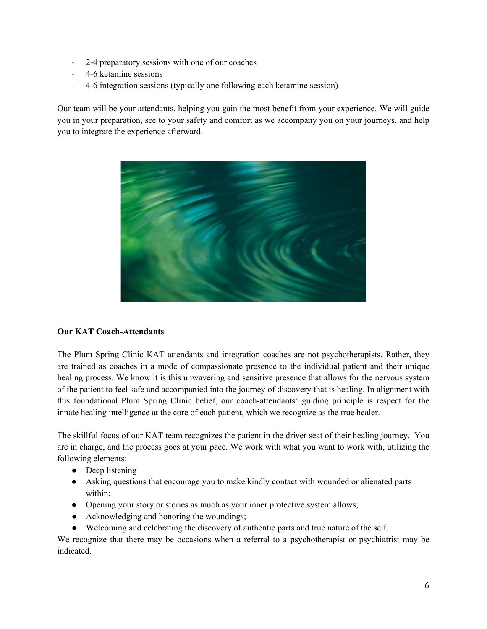- 2-4 preparatory sessions with one of our coaches
- 4-6 ketamine sessions
- 4-6 integration sessions (typically one following each ketamine session)

Our team will be your attendants, helping you gain the most benefit from your experience. We will guide you in your preparation, see to your safety and comfort as we accompany you on your journeys, and help you to integrate the experience afterward.



# **Our KAT Coach-Attendants**

The Plum Spring Clinic KAT attendants and integration coaches are not psychotherapists. Rather, they are trained as coaches in a mode of compassionate presence to the individual patient and their unique healing process. We know it is this unwavering and sensitive presence that allows for the nervous system of the patient to feel safe and accompanied into the journey of discovery that is healing. In alignment with this foundational Plum Spring Clinic belief, our coach-attendants' guiding principle is respect for the innate healing intelligence at the core of each patient, which we recognize as the true healer.

The skillful focus of our KAT team recognizes the patient in the driver seat of their healing journey. You are in charge, and the process goes at your pace. We work with what you want to work with, utilizing the following elements:

- Deep listening
- Asking questions that encourage you to make kindly contact with wounded or alienated parts within;
- Opening your story or stories as much as your inner protective system allows;
- Acknowledging and honoring the woundings;
- Welcoming and celebrating the discovery of authentic parts and true nature of the self.

We recognize that there may be occasions when a referral to a psychotherapist or psychiatrist may be indicated.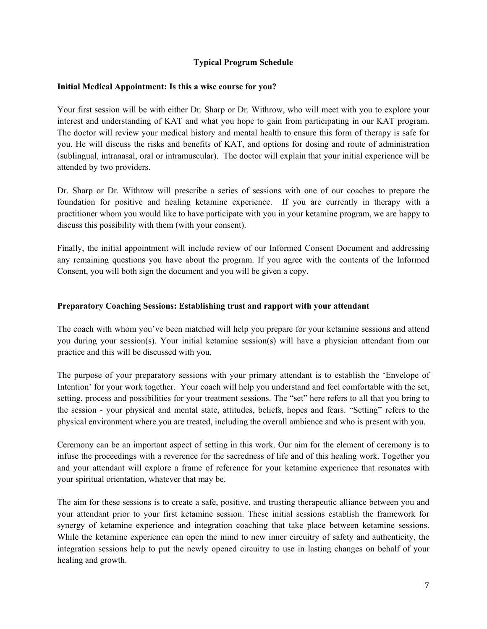# **Typical Program Schedule**

# **Initial Medical Appointment: Is this a wise course for you?**

Your first session will be with either Dr. Sharp or Dr. Withrow, who will meet with you to explore your interest and understanding of KAT and what you hope to gain from participating in our KAT program. The doctor will review your medical history and mental health to ensure this form of therapy is safe for you. He will discuss the risks and benefits of KAT, and options for dosing and route of administration (sublingual, intranasal, oral or intramuscular). The doctor will explain that your initial experience will be attended by two providers.

Dr. Sharp or Dr. Withrow will prescribe a series of sessions with one of our coaches to prepare the foundation for positive and healing ketamine experience. If you are currently in therapy with a practitioner whom you would like to have participate with you in your ketamine program, we are happy to discuss this possibility with them (with your consent).

Finally, the initial appointment will include review of our Informed Consent Document and addressing any remaining questions you have about the program. If you agree with the contents of the Informed Consent, you will both sign the document and you will be given a copy.

# **Preparatory Coaching Sessions: Establishing trust and rapport with your attendant**

The coach with whom you've been matched will help you prepare for your ketamine sessions and attend you during your session(s). Your initial ketamine session(s) will have a physician attendant from our practice and this will be discussed with you.

The purpose of your preparatory sessions with your primary attendant is to establish the 'Envelope of Intention' for your work together. Your coach will help you understand and feel comfortable with the set, setting, process and possibilities for your treatment sessions. The "set" here refers to all that you bring to the session - your physical and mental state, attitudes, beliefs, hopes and fears. "Setting" refers to the physical environment where you are treated, including the overall ambience and who is present with you.

Ceremony can be an important aspect of setting in this work. Our aim for the element of ceremony is to infuse the proceedings with a reverence for the sacredness of life and of this healing work. Together you and your attendant will explore a frame of reference for your ketamine experience that resonates with your spiritual orientation, whatever that may be.

The aim for these sessions is to create a safe, positive, and trusting therapeutic alliance between you and your attendant prior to your first ketamine session. These initial sessions establish the framework for synergy of ketamine experience and integration coaching that take place between ketamine sessions. While the ketamine experience can open the mind to new inner circuitry of safety and authenticity, the integration sessions help to put the newly opened circuitry to use in lasting changes on behalf of your healing and growth.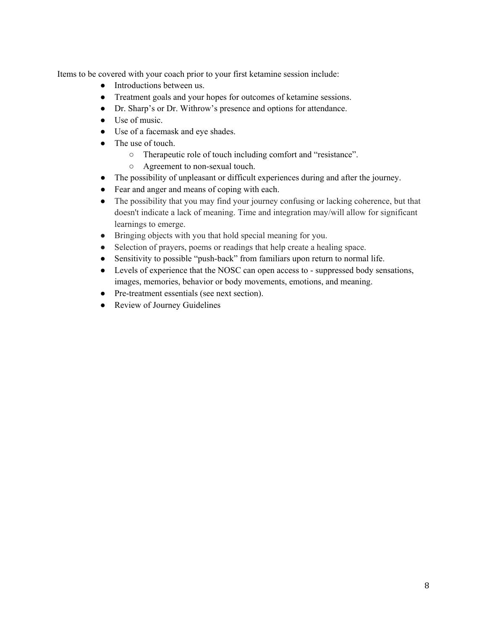Items to be covered with your coach prior to your first ketamine session include:

- Introductions between us.
- Treatment goals and your hopes for outcomes of ketamine sessions.
- Dr. Sharp's or Dr. Withrow's presence and options for attendance.
- Use of music.
- Use of a facemask and eye shades.
- The use of touch.
	- Therapeutic role of touch including comfort and "resistance".
	- Agreement to non-sexual touch.
- The possibility of unpleasant or difficult experiences during and after the journey.
- Fear and anger and means of coping with each.
- The possibility that you may find your journey confusing or lacking coherence, but that doesn't indicate a lack of meaning. Time and integration may/will allow for significant learnings to emerge.
- Bringing objects with you that hold special meaning for you.
- Selection of prayers, poems or readings that help create a healing space.
- Sensitivity to possible "push-back" from familiars upon return to normal life.
- Levels of experience that the NOSC can open access to suppressed body sensations, images, memories, behavior or body movements, emotions, and meaning.
- Pre-treatment essentials (see next section).
- Review of Journey Guidelines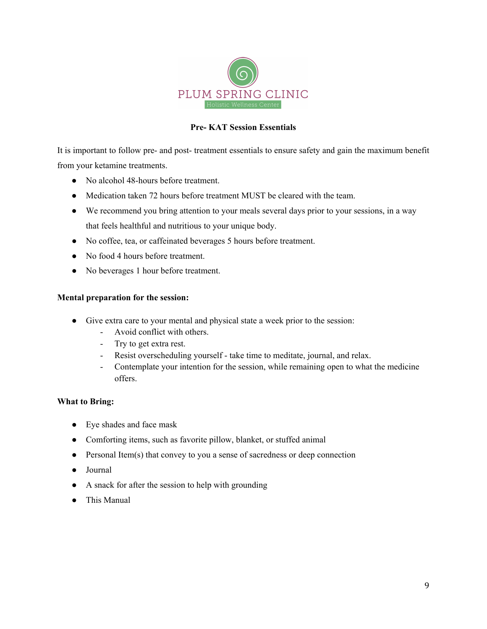

# **Pre- KAT Session Essentials**

It is important to follow pre- and post- treatment essentials to ensure safety and gain the maximum benefit from your ketamine treatments.

- No alcohol 48-hours before treatment.
- Medication taken 72 hours before treatment MUST be cleared with the team.
- We recommend you bring attention to your meals several days prior to your sessions, in a way that feels healthful and nutritious to your unique body.
- No coffee, tea, or caffeinated beverages 5 hours before treatment.
- No food 4 hours before treatment.
- No beverages 1 hour before treatment.

# **Mental preparation for the session:**

- Give extra care to your mental and physical state a week prior to the session:
	- Avoid conflict with others.
	- Try to get extra rest.
	- Resist overscheduling yourself take time to meditate, journal, and relax.
	- Contemplate your intention for the session, while remaining open to what the medicine offers.

# **What to Bring:**

- Eye shades and face mask
- Comforting items, such as favorite pillow, blanket, or stuffed animal
- Personal Item(s) that convey to you a sense of sacredness or deep connection
- Journal
- A snack for after the session to help with grounding
- This Manual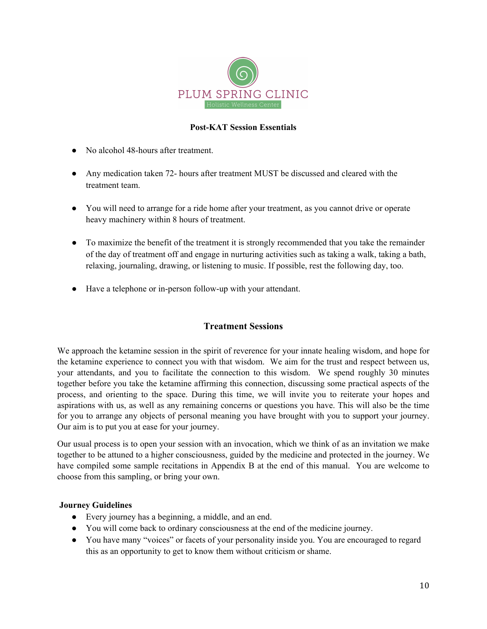

# **Post-KAT Session Essentials**

- No alcohol 48-hours after treatment.
- Any medication taken 72- hours after treatment MUST be discussed and cleared with the treatment team.
- You will need to arrange for a ride home after your treatment, as you cannot drive or operate heavy machinery within 8 hours of treatment.
- To maximize the benefit of the treatment it is strongly recommended that you take the remainder of the day of treatment off and engage in nurturing activities such as taking a walk, taking a bath, relaxing, journaling, drawing, or listening to music. If possible, rest the following day, too.
- Have a telephone or in-person follow-up with your attendant.

# **Treatment Sessions**

We approach the ketamine session in the spirit of reverence for your innate healing wisdom, and hope for the ketamine experience to connect you with that wisdom. We aim for the trust and respect between us, your attendants, and you to facilitate the connection to this wisdom. We spend roughly 30 minutes together before you take the ketamine affirming this connection, discussing some practical aspects of the process, and orienting to the space. During this time, we will invite you to reiterate your hopes and aspirations with us, as well as any remaining concerns or questions you have. This will also be the time for you to arrange any objects of personal meaning you have brought with you to support your journey. Our aim is to put you at ease for your journey.

Our usual process is to open your session with an invocation, which we think of as an invitation we make together to be attuned to a higher consciousness, guided by the medicine and protected in the journey. We have compiled some sample recitations in Appendix B at the end of this manual. You are welcome to choose from this sampling, or bring your own.

# **Journey Guidelines**

- Every journey has a beginning, a middle, and an end.
- You will come back to ordinary consciousness at the end of the medicine journey.
- You have many "voices" or facets of your personality inside you. You are encouraged to regard this as an opportunity to get to know them without criticism or shame.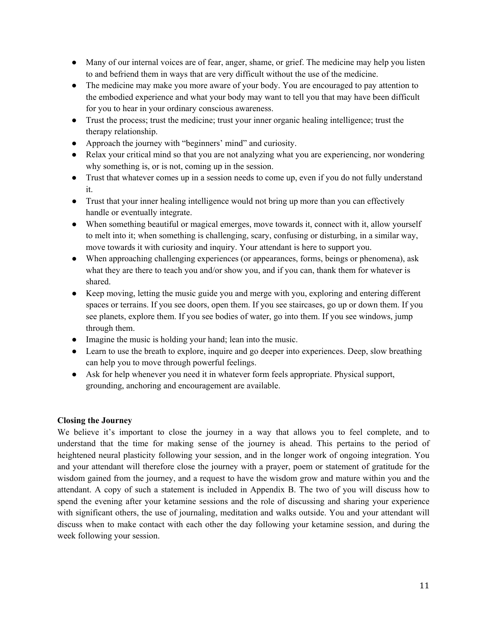- Many of our internal voices are of fear, anger, shame, or grief. The medicine may help you listen to and befriend them in ways that are very difficult without the use of the medicine.
- The medicine may make you more aware of your body. You are encouraged to pay attention to the embodied experience and what your body may want to tell you that may have been difficult for you to hear in your ordinary conscious awareness.
- Trust the process; trust the medicine; trust your inner organic healing intelligence; trust the therapy relationship.
- Approach the journey with "beginners' mind" and curiosity.
- Relax your critical mind so that you are not analyzing what you are experiencing, nor wondering why something is, or is not, coming up in the session.
- Trust that whatever comes up in a session needs to come up, even if you do not fully understand it.
- Trust that your inner healing intelligence would not bring up more than you can effectively handle or eventually integrate.
- When something beautiful or magical emerges, move towards it, connect with it, allow yourself to melt into it; when something is challenging, scary, confusing or disturbing, in a similar way, move towards it with curiosity and inquiry. Your attendant is here to support you.
- When approaching challenging experiences (or appearances, forms, beings or phenomena), ask what they are there to teach you and/or show you, and if you can, thank them for whatever is shared.
- Keep moving, letting the music guide you and merge with you, exploring and entering different spaces or terrains. If you see doors, open them. If you see staircases, go up or down them. If you see planets, explore them. If you see bodies of water, go into them. If you see windows, jump through them.
- Imagine the music is holding your hand; lean into the music.
- Learn to use the breath to explore, inquire and go deeper into experiences. Deep, slow breathing can help you to move through powerful feelings.
- Ask for help whenever you need it in whatever form feels appropriate. Physical support, grounding, anchoring and encouragement are available.

# **Closing the Journey**

We believe it's important to close the journey in a way that allows you to feel complete, and to understand that the time for making sense of the journey is ahead. This pertains to the period of heightened neural plasticity following your session, and in the longer work of ongoing integration. You and your attendant will therefore close the journey with a prayer, poem or statement of gratitude for the wisdom gained from the journey, and a request to have the wisdom grow and mature within you and the attendant. A copy of such a statement is included in Appendix B. The two of you will discuss how to spend the evening after your ketamine sessions and the role of discussing and sharing your experience with significant others, the use of journaling, meditation and walks outside. You and your attendant will discuss when to make contact with each other the day following your ketamine session, and during the week following your session.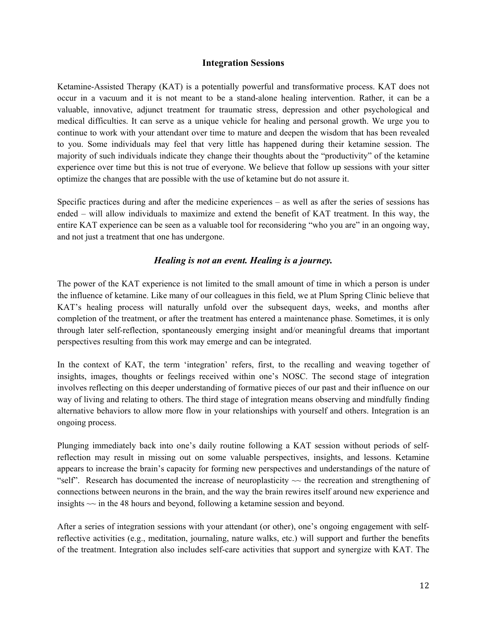# **Integration Sessions**

Ketamine-Assisted Therapy (KAT) is a potentially powerful and transformative process. KAT does not occur in a vacuum and it is not meant to be a stand-alone healing intervention. Rather, it can be a valuable, innovative, adjunct treatment for traumatic stress, depression and other psychological and medical difficulties. It can serve as a unique vehicle for healing and personal growth. We urge you to continue to work with your attendant over time to mature and deepen the wisdom that has been revealed to you. Some individuals may feel that very little has happened during their ketamine session. The majority of such individuals indicate they change their thoughts about the "productivity" of the ketamine experience over time but this is not true of everyone. We believe that follow up sessions with your sitter optimize the changes that are possible with the use of ketamine but do not assure it.

Specific practices during and after the medicine experiences – as well as after the series of sessions has ended – will allow individuals to maximize and extend the benefit of KAT treatment. In this way, the entire KAT experience can be seen as a valuable tool for reconsidering "who you are" in an ongoing way, and not just a treatment that one has undergone.

# *Healing is not an event. Healing is a journey.*

The power of the KAT experience is not limited to the small amount of time in which a person is under the influence of ketamine. Like many of our colleagues in this field, we at Plum Spring Clinic believe that KAT's healing process will naturally unfold over the subsequent days, weeks, and months after completion of the treatment, or after the treatment has entered a maintenance phase. Sometimes, it is only through later self-reflection, spontaneously emerging insight and/or meaningful dreams that important perspectives resulting from this work may emerge and can be integrated.

In the context of KAT, the term 'integration' refers, first, to the recalling and weaving together of insights, images, thoughts or feelings received within one's NOSC. The second stage of integration involves reflecting on this deeper understanding of formative pieces of our past and their influence on our way of living and relating to others. The third stage of integration means observing and mindfully finding alternative behaviors to allow more flow in your relationships with yourself and others. Integration is an ongoing process.

Plunging immediately back into one's daily routine following a KAT session without periods of selfreflection may result in missing out on some valuable perspectives, insights, and lessons. Ketamine appears to increase the brain's capacity for forming new perspectives and understandings of the nature of "self". Research has documented the increase of neuroplasticity  $\sim$  the recreation and strengthening of connections between neurons in the brain, and the way the brain rewires itself around new experience and insights  $\sim$  in the 48 hours and beyond, following a ketamine session and beyond.

After a series of integration sessions with your attendant (or other), one's ongoing engagement with selfreflective activities (e.g., meditation, journaling, nature walks, etc.) will support and further the benefits of the treatment. Integration also includes self-care activities that support and synergize with KAT. The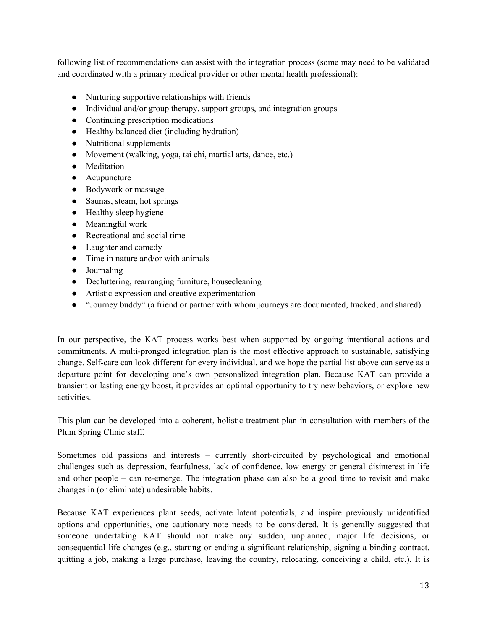following list of recommendations can assist with the integration process (some may need to be validated and coordinated with a primary medical provider or other mental health professional):

- Nurturing supportive relationships with friends
- Individual and/or group therapy, support groups, and integration groups
- Continuing prescription medications
- Healthy balanced diet (including hydration)
- Nutritional supplements
- Movement (walking, yoga, tai chi, martial arts, dance, etc.)
- Meditation
- Acupuncture
- Bodywork or massage
- Saunas, steam, hot springs
- Healthy sleep hygiene
- Meaningful work
- Recreational and social time
- Laughter and comedy
- Time in nature and/or with animals
- Journaling
- Decluttering, rearranging furniture, housecleaning
- Artistic expression and creative experimentation
- "Journey buddy" (a friend or partner with whom journeys are documented, tracked, and shared)

In our perspective, the KAT process works best when supported by ongoing intentional actions and commitments. A multi-pronged integration plan is the most effective approach to sustainable, satisfying change. Self-care can look different for every individual, and we hope the partial list above can serve as a departure point for developing one's own personalized integration plan. Because KAT can provide a transient or lasting energy boost, it provides an optimal opportunity to try new behaviors, or explore new activities.

This plan can be developed into a coherent, holistic treatment plan in consultation with members of the Plum Spring Clinic staff.

Sometimes old passions and interests – currently short-circuited by psychological and emotional challenges such as depression, fearfulness, lack of confidence, low energy or general disinterest in life and other people – can re-emerge. The integration phase can also be a good time to revisit and make changes in (or eliminate) undesirable habits.

Because KAT experiences plant seeds, activate latent potentials, and inspire previously unidentified options and opportunities, one cautionary note needs to be considered. It is generally suggested that someone undertaking KAT should not make any sudden, unplanned, major life decisions, or consequential life changes (e.g., starting or ending a significant relationship, signing a binding contract, quitting a job, making a large purchase, leaving the country, relocating, conceiving a child, etc.). It is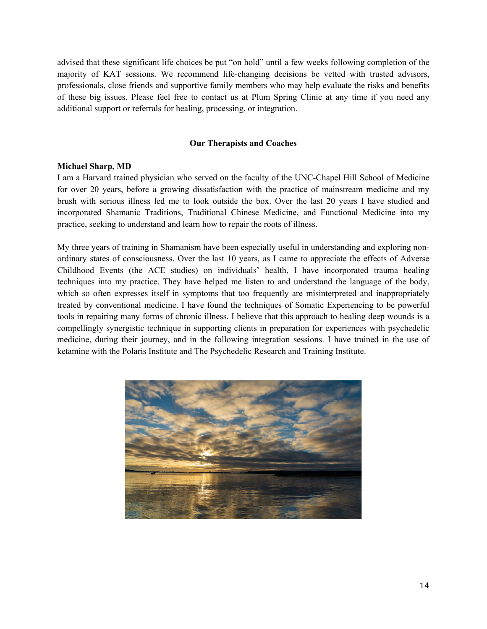advised that these significant life choices be put "on hold" until a few weeks following completion of the majority of KAT sessions. We recommend life-changing decisions be vetted with trusted advisors, professionals, close friends and supportive family members who may help evaluate the risks and benefits of these big issues. Please feel free to contact us at Plum Spring Clinic at any time if you need any additional support or referrals for healing, processing, or integration.

# **Our Therapists and Coaches**

# **Michael Sharp, MD**

I am a Harvard trained physician who served on the faculty of the UNC-Chapel Hill School of Medicine for over 20 years, before a growing dissatisfaction with the practice of mainstream medicine and my brush with serious illness led me to look outside the box. Over the last 20 years I have studied and incorporated Shamanic Traditions, Traditional Chinese Medicine, and Functional Medicine into my practice, seeking to understand and learn how to repair the roots of illness.

My three years of training in Shamanism have been especially useful in understanding and exploring nonordinary states of consciousness. Over the last 10 years, as I came to appreciate the effects of Adverse Childhood Events (the ACE studies) on individuals' health, I have incorporated trauma healing techniques into my practice. They have helped me listen to and understand the language of the body, which so often expresses itself in symptoms that too frequently are misinterpreted and inappropriately treated by conventional medicine. I have found the techniques of Somatic Experiencing to be powerful tools in repairing many forms of chronic illness. I believe that this approach to healing deep wounds is a compellingly synergistic technique in supporting clients in preparation for experiences with psychedelic medicine, during their journey, and in the following integration sessions. I have trained in the use of ketamine with the Polaris Institute and The Psychedelic Research and Training Institute.

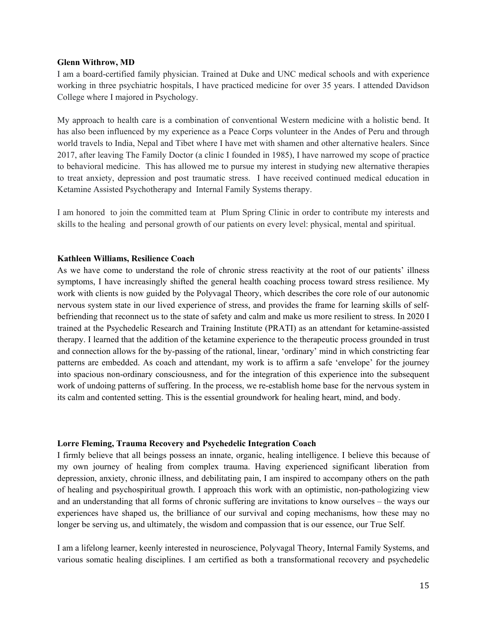#### **Glenn Withrow, MD**

I am a board-certified family physician. Trained at Duke and UNC medical schools and with experience working in three psychiatric hospitals, I have practiced medicine for over 35 years. I attended Davidson College where I majored in Psychology.

My approach to health care is a combination of conventional Western medicine with a holistic bend. It has also been influenced by my experience as a Peace Corps volunteer in the Andes of Peru and through world travels to India, Nepal and Tibet where I have met with shamen and other alternative healers. Since 2017, after leaving The Family Doctor (a clinic I founded in 1985), I have narrowed my scope of practice to behavioral medicine. This has allowed me to pursue my interest in studying new alternative therapies to treat anxiety, depression and post traumatic stress. I have received continued medical education in Ketamine Assisted Psychotherapy and Internal Family Systems therapy.

I am honored to join the committed team at Plum Spring Clinic in order to contribute my interests and skills to the healing and personal growth of our patients on every level: physical, mental and spiritual.

## **Kathleen Williams, Resilience Coach**

As we have come to understand the role of chronic stress reactivity at the root of our patients' illness symptoms, I have increasingly shifted the general health coaching process toward stress resilience. My work with clients is now guided by the Polyvagal Theory, which describes the core role of our autonomic nervous system state in our lived experience of stress, and provides the frame for learning skills of selfbefriending that reconnect us to the state of safety and calm and make us more resilient to stress. In 2020 I trained at the Psychedelic Research and Training Institute (PRATI) as an attendant for ketamine-assisted therapy. I learned that the addition of the ketamine experience to the therapeutic process grounded in trust and connection allows for the by-passing of the rational, linear, 'ordinary' mind in which constricting fear patterns are embedded. As coach and attendant, my work is to affirm a safe 'envelope' for the journey into spacious non-ordinary consciousness, and for the integration of this experience into the subsequent work of undoing patterns of suffering. In the process, we re-establish home base for the nervous system in its calm and contented setting. This is the essential groundwork for healing heart, mind, and body.

## **Lorre Fleming, Trauma Recovery and Psychedelic Integration Coach**

I firmly believe that all beings possess an innate, organic, healing intelligence. I believe this because of my own journey of healing from complex trauma. Having experienced significant liberation from depression, anxiety, chronic illness, and debilitating pain, I am inspired to accompany others on the path of healing and psychospiritual growth. I approach this work with an optimistic, non-pathologizing view and an understanding that all forms of chronic suffering are invitations to know ourselves – the ways our experiences have shaped us, the brilliance of our survival and coping mechanisms, how these may no longer be serving us, and ultimately, the wisdom and compassion that is our essence, our True Self.

I am a lifelong learner, keenly interested in neuroscience, Polyvagal Theory, Internal Family Systems, and various somatic healing disciplines. I am certified as both a transformational recovery and psychedelic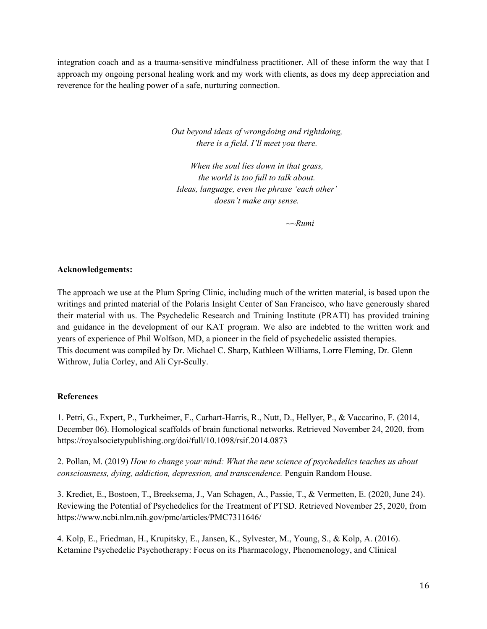integration coach and as a trauma-sensitive mindfulness practitioner. All of these inform the way that I approach my ongoing personal healing work and my work with clients, as does my deep appreciation and reverence for the healing power of a safe, nurturing connection.

> *Out beyond ideas of wrongdoing and rightdoing, there is a field. I'll meet you there.*

*When the soul lies down in that grass, the world is too full to talk about. Ideas, language, even the phrase 'each other' doesn't make any sense.*

*~~Rumi*

# **Acknowledgements:**

The approach we use at the Plum Spring Clinic, including much of the written material, is based upon the writings and printed material of the Polaris Insight Center of San Francisco, who have generously shared their material with us. The Psychedelic Research and Training Institute (PRATI) has provided training and guidance in the development of our KAT program. We also are indebted to the written work and years of experience of Phil Wolfson, MD, a pioneer in the field of psychedelic assisted therapies. This document was compiled by Dr. Michael C. Sharp, Kathleen Williams, Lorre Fleming, Dr. Glenn Withrow, Julia Corley, and Ali Cyr-Scully.

# **References**

1. Petri, G., Expert, P., Turkheimer, F., Carhart-Harris, R., Nutt, D., Hellyer, P., & Vaccarino, F. (2014, December 06). Homological scaffolds of brain functional networks. Retrieved November 24, 2020, from https://royalsocietypublishing.org/doi/full/10.1098/rsif.2014.0873

2. Pollan, M. (2019) *How to change your mind: What the new science of psychedelics teaches us about consciousness, dying, addiction, depression, and transcendence.* Penguin Random House.

3. Krediet, E., Bostoen, T., Breeksema, J., Van Schagen, A., Passie, T., & Vermetten, E. (2020, June 24). Reviewing the Potential of Psychedelics for the Treatment of PTSD. Retrieved November 25, 2020, from https://www.ncbi.nlm.nih.gov/pmc/articles/PMC7311646/

4. Kolp, E., Friedman, H., Krupitsky, E., Jansen, K., Sylvester, M., Young, S., & Kolp, A. (2016). Ketamine Psychedelic Psychotherapy: Focus on its Pharmacology, Phenomenology, and Clinical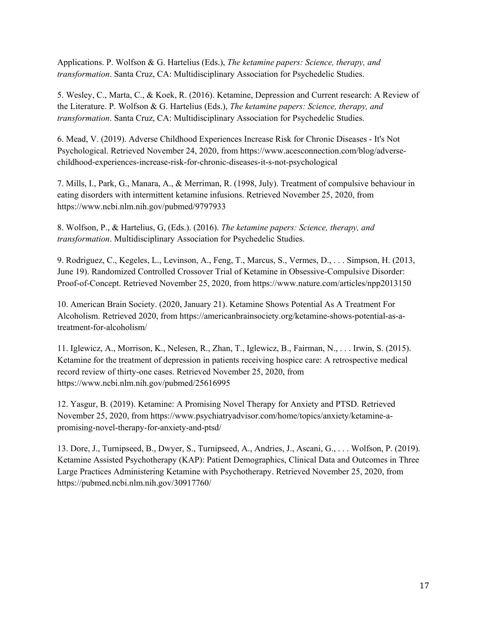Applications. P. Wolfson & G. Hartelius (Eds.), *The ketamine papers: Science, therapy, and transformation*. Santa Cruz, CA: Multidisciplinary Association for Psychedelic Studies.

5. Wesley, C., Marta, C., & Koek, R. (2016). Ketamine, Depression and Current research: A Review of the Literature. P. Wolfson & G. Hartelius (Eds.), *The ketamine papers: Science, therapy, and transformation*. Santa Cruz, CA: Multidisciplinary Association for Psychedelic Studies.

6. Mead, V. (2019). Adverse Childhood Experiences Increase Risk for Chronic Diseases - It's Not Psychological. Retrieved November 24, 2020, from https://www.acesconnection.com/blog/adversechildhood-experiences-increase-risk-for-chronic-diseases-it-s-not-psychological

7. Mills, I., Park, G., Manara, A., & Merriman, R. (1998, July). Treatment of compulsive behaviour in eating disorders with intermittent ketamine infusions. Retrieved November 25, 2020, from https://www.ncbi.nlm.nih.gov/pubmed/9797933

8. Wolfson, P., & Hartelius, G, (Eds.). (2016). *The ketamine papers: Science, therapy, and transformation*. Multidisciplinary Association for Psychedelic Studies.

9. Rodriguez, C., Kegeles, L., Levinson, A., Feng, T., Marcus, S., Vermes, D., . . . Simpson, H. (2013, June 19). Randomized Controlled Crossover Trial of Ketamine in Obsessive-Compulsive Disorder: Proof-of-Concept. Retrieved November 25, 2020, from https://www.nature.com/articles/npp2013150

10. American Brain Society. (2020, January 21). Ketamine Shows Potential As A Treatment For Alcoholism. Retrieved 2020, from https://americanbrainsociety.org/ketamine-shows-potential-as-atreatment-for-alcoholism/

11. Iglewicz, A., Morrison, K., Nelesen, R., Zhan, T., Iglewicz, B., Fairman, N., . . . Irwin, S. (2015). Ketamine for the treatment of depression in patients receiving hospice care: A retrospective medical record review of thirty-one cases. Retrieved November 25, 2020, from https://www.ncbi.nlm.nih.gov/pubmed/25616995

12. Yasgur, B. (2019). Ketamine: A Promising Novel Therapy for Anxiety and PTSD. Retrieved November 25, 2020, from https://www.psychiatryadvisor.com/home/topics/anxiety/ketamine-apromising-novel-therapy-for-anxiety-and-ptsd/

13. Dore, J., Turnipseed, B., Dwyer, S., Turnipseed, A., Andries, J., Ascani, G., . . . Wolfson, P. (2019). Ketamine Assisted Psychotherapy (KAP): Patient Demographics, Clinical Data and Outcomes in Three Large Practices Administering Ketamine with Psychotherapy. Retrieved November 25, 2020, from https://pubmed.ncbi.nlm.nih.gov/30917760/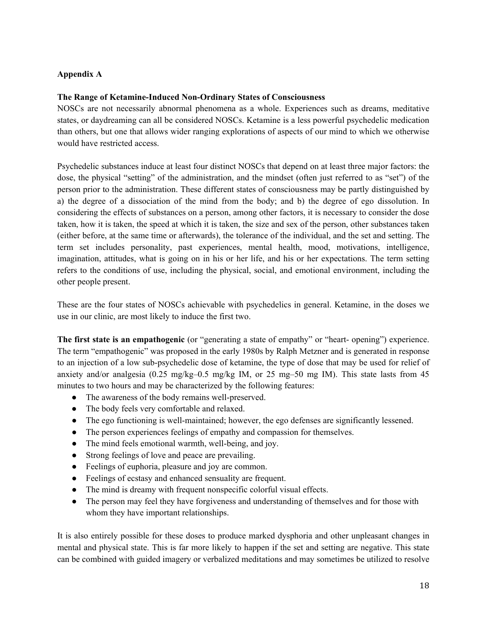# **Appendix A**

# **The Range of Ketamine-Induced Non-Ordinary States of Consciousness**

NOSCs are not necessarily abnormal phenomena as a whole. Experiences such as dreams, meditative states, or daydreaming can all be considered NOSCs. Ketamine is a less powerful psychedelic medication than others, but one that allows wider ranging explorations of aspects of our mind to which we otherwise would have restricted access.

Psychedelic substances induce at least four distinct NOSCs that depend on at least three major factors: the dose, the physical "setting" of the administration, and the mindset (often just referred to as "set") of the person prior to the administration. These different states of consciousness may be partly distinguished by a) the degree of a dissociation of the mind from the body; and b) the degree of ego dissolution. In considering the effects of substances on a person, among other factors, it is necessary to consider the dose taken, how it is taken, the speed at which it is taken, the size and sex of the person, other substances taken (either before, at the same time or afterwards), the tolerance of the individual, and the set and setting. The term set includes personality, past experiences, mental health, mood, motivations, intelligence, imagination, attitudes, what is going on in his or her life, and his or her expectations. The term setting refers to the conditions of use, including the physical, social, and emotional environment, including the other people present.

These are the four states of NOSCs achievable with psychedelics in general. Ketamine, in the doses we use in our clinic, are most likely to induce the first two.

**The first state is an empathogenic** (or "generating a state of empathy" or "heart- opening") experience. The term "empathogenic" was proposed in the early 1980s by Ralph Metzner and is generated in response to an injection of a low sub-psychedelic dose of ketamine, the type of dose that may be used for relief of anxiety and/or analgesia (0.25 mg/kg–0.5 mg/kg IM, or 25 mg–50 mg IM). This state lasts from 45 minutes to two hours and may be characterized by the following features:

- The awareness of the body remains well-preserved.
- The body feels very comfortable and relaxed.
- The ego functioning is well-maintained; however, the ego defenses are significantly lessened.
- The person experiences feelings of empathy and compassion for themselves.
- The mind feels emotional warmth, well-being, and joy.
- Strong feelings of love and peace are prevailing.
- Feelings of euphoria, pleasure and joy are common.
- Feelings of ecstasy and enhanced sensuality are frequent.
- The mind is dreamy with frequent nonspecific colorful visual effects.
- The person may feel they have forgiveness and understanding of themselves and for those with whom they have important relationships.

It is also entirely possible for these doses to produce marked dysphoria and other unpleasant changes in mental and physical state. This is far more likely to happen if the set and setting are negative. This state can be combined with guided imagery or verbalized meditations and may sometimes be utilized to resolve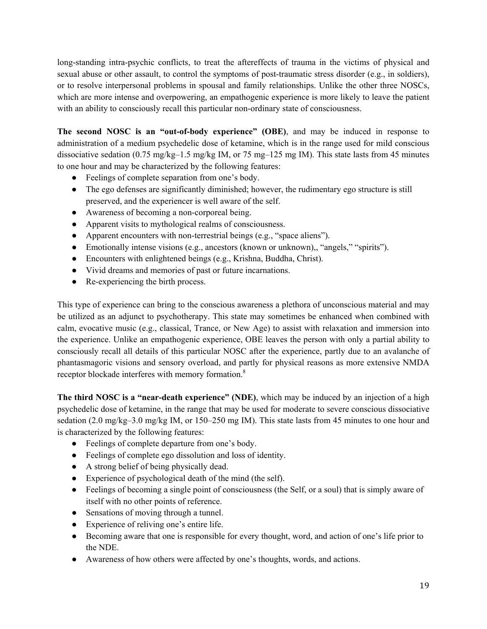long-standing intra-psychic conflicts, to treat the aftereffects of trauma in the victims of physical and sexual abuse or other assault, to control the symptoms of post-traumatic stress disorder (e.g., in soldiers), or to resolve interpersonal problems in spousal and family relationships. Unlike the other three NOSCs, which are more intense and overpowering, an empathogenic experience is more likely to leave the patient with an ability to consciously recall this particular non-ordinary state of consciousness.

**The second NOSC is an "out-of-body experience" (OBE)**, and may be induced in response to administration of a medium psychedelic dose of ketamine, which is in the range used for mild conscious dissociative sedation (0.75 mg/kg–1.5 mg/kg IM, or 75 mg–125 mg IM). This state lasts from 45 minutes to one hour and may be characterized by the following features:

- Feelings of complete separation from one's body.
- The ego defenses are significantly diminished; however, the rudimentary ego structure is still preserved, and the experiencer is well aware of the self.
- Awareness of becoming a non-corporeal being.
- Apparent visits to mythological realms of consciousness.
- Apparent encounters with non-terrestrial beings (e.g., "space aliens").
- Emotionally intense visions (e.g., ancestors (known or unknown),, "angels," "spirits").
- Encounters with enlightened beings (e.g., Krishna, Buddha, Christ).
- Vivid dreams and memories of past or future incarnations.
- Re-experiencing the birth process.

This type of experience can bring to the conscious awareness a plethora of unconscious material and may be utilized as an adjunct to psychotherapy. This state may sometimes be enhanced when combined with calm, evocative music (e.g., classical, Trance, or New Age) to assist with relaxation and immersion into the experience. Unlike an empathogenic experience, OBE leaves the person with only a partial ability to consciously recall all details of this particular NOSC after the experience, partly due to an avalanche of phantasmagoric visions and sensory overload, and partly for physical reasons as more extensive NMDA receptor blockade interferes with memory formation.<sup>8</sup>

**The third NOSC is a "near-death experience" (NDE)**, which may be induced by an injection of a high psychedelic dose of ketamine, in the range that may be used for moderate to severe conscious dissociative sedation (2.0 mg/kg–3.0 mg/kg IM, or 150–250 mg IM). This state lasts from 45 minutes to one hour and is characterized by the following features:

- Feelings of complete departure from one's body.
- Feelings of complete ego dissolution and loss of identity.
- A strong belief of being physically dead.
- Experience of psychological death of the mind (the self).
- Feelings of becoming a single point of consciousness (the Self, or a soul) that is simply aware of itself with no other points of reference.
- Sensations of moving through a tunnel.
- Experience of reliving one's entire life.
- Becoming aware that one is responsible for every thought, word, and action of one's life prior to the NDE.
- Awareness of how others were affected by one's thoughts, words, and actions.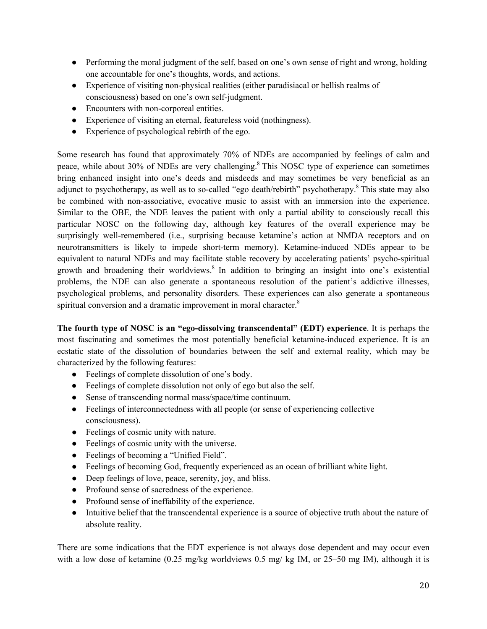- Performing the moral judgment of the self, based on one's own sense of right and wrong, holding one accountable for one's thoughts, words, and actions.
- Experience of visiting non-physical realities (either paradisiacal or hellish realms of consciousness) based on one's own self-judgment.
- Encounters with non-corporeal entities.
- Experience of visiting an eternal, featureless void (nothingness).
- Experience of psychological rebirth of the ego.

Some research has found that approximately 70% of NDEs are accompanied by feelings of calm and peace, while about 30% of NDEs are very challenging.<sup>8</sup> This NOSC type of experience can sometimes bring enhanced insight into one's deeds and misdeeds and may sometimes be very beneficial as an adjunct to psychotherapy, as well as to so-called "ego death/rebirth" psychotherapy.<sup>8</sup> This state may also be combined with non-associative, evocative music to assist with an immersion into the experience. Similar to the OBE, the NDE leaves the patient with only a partial ability to consciously recall this particular NOSC on the following day, although key features of the overall experience may be surprisingly well-remembered (i.e., surprising because ketamine's action at NMDA receptors and on neurotransmitters is likely to impede short-term memory). Ketamine-induced NDEs appear to be equivalent to natural NDEs and may facilitate stable recovery by accelerating patients' psycho-spiritual growth and broadening their worldviews.<sup>8</sup> In addition to bringing an insight into one's existential problems, the NDE can also generate a spontaneous resolution of the patient's addictive illnesses, psychological problems, and personality disorders. These experiences can also generate a spontaneous spiritual conversion and a dramatic improvement in moral character.<sup>8</sup>

**The fourth type of NOSC is an "ego-dissolving transcendental" (EDT) experience**. It is perhaps the most fascinating and sometimes the most potentially beneficial ketamine-induced experience. It is an ecstatic state of the dissolution of boundaries between the self and external reality, which may be characterized by the following features:

- Feelings of complete dissolution of one's body.
- Feelings of complete dissolution not only of ego but also the self.
- Sense of transcending normal mass/space/time continuum.
- Feelings of interconnectedness with all people (or sense of experiencing collective consciousness).
- Feelings of cosmic unity with nature.
- Feelings of cosmic unity with the universe.
- Feelings of becoming a "Unified Field".
- Feelings of becoming God, frequently experienced as an ocean of brilliant white light.
- Deep feelings of love, peace, serenity, joy, and bliss.
- Profound sense of sacredness of the experience.
- Profound sense of ineffability of the experience.
- Intuitive belief that the transcendental experience is a source of objective truth about the nature of absolute reality.

There are some indications that the EDT experience is not always dose dependent and may occur even with a low dose of ketamine (0.25 mg/kg worldviews 0.5 mg/kg IM, or 25–50 mg IM), although it is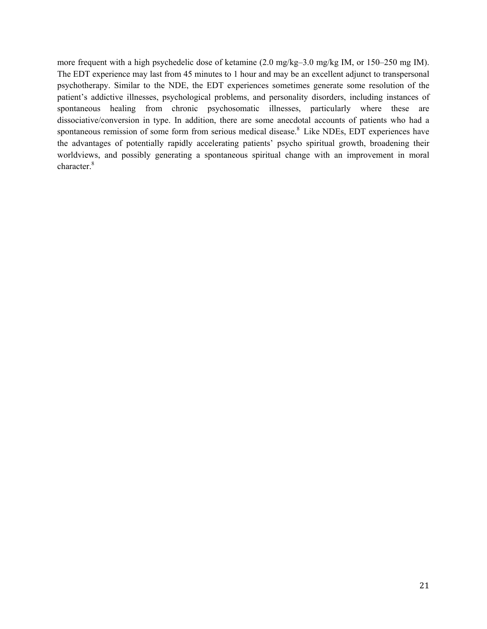more frequent with a high psychedelic dose of ketamine (2.0 mg/kg–3.0 mg/kg IM, or 150–250 mg IM). The EDT experience may last from 45 minutes to 1 hour and may be an excellent adjunct to transpersonal psychotherapy. Similar to the NDE, the EDT experiences sometimes generate some resolution of the patient's addictive illnesses, psychological problems, and personality disorders, including instances of spontaneous healing from chronic psychosomatic illnesses, particularly where these are dissociative/conversion in type. In addition, there are some anecdotal accounts of patients who had a spontaneous remission of some form from serious medical disease.<sup>8</sup> Like NDEs, EDT experiences have the advantages of potentially rapidly accelerating patients' psycho spiritual growth, broadening their worldviews, and possibly generating a spontaneous spiritual change with an improvement in moral character.<sup>8</sup>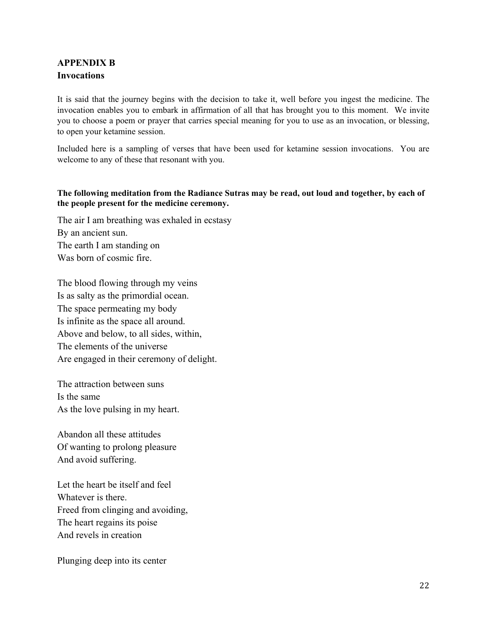# **APPENDIX B Invocations**

It is said that the journey begins with the decision to take it, well before you ingest the medicine. The invocation enables you to embark in affirmation of all that has brought you to this moment. We invite you to choose a poem or prayer that carries special meaning for you to use as an invocation, or blessing, to open your ketamine session.

Included here is a sampling of verses that have been used for ketamine session invocations. You are welcome to any of these that resonant with you.

# **The following meditation from the Radiance Sutras may be read, out loud and together, by each of the people present for the medicine ceremony.**

The air I am breathing was exhaled in ecstasy By an ancient sun. The earth I am standing on Was born of cosmic fire.

The blood flowing through my veins Is as salty as the primordial ocean. The space permeating my body Is infinite as the space all around. Above and below, to all sides, within, The elements of the universe Are engaged in their ceremony of delight.

The attraction between suns Is the same As the love pulsing in my heart.

Abandon all these attitudes Of wanting to prolong pleasure And avoid suffering.

Let the heart be itself and feel Whatever is there. Freed from clinging and avoiding, The heart regains its poise And revels in creation

Plunging deep into its center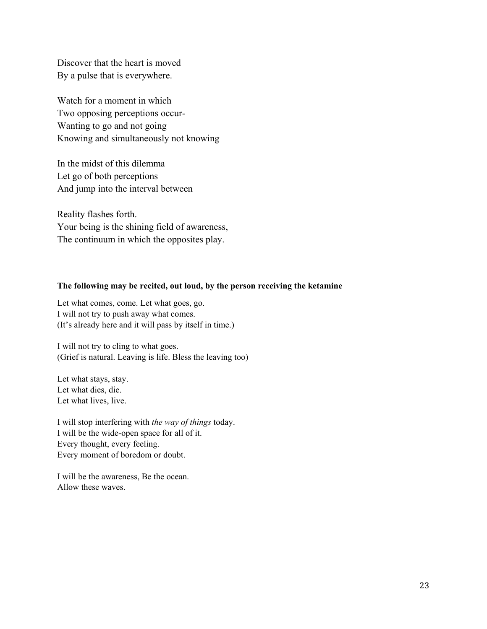Discover that the heart is moved By a pulse that is everywhere.

Watch for a moment in which Two opposing perceptions occur-Wanting to go and not going Knowing and simultaneously not knowing

In the midst of this dilemma Let go of both perceptions And jump into the interval between

Reality flashes forth. Your being is the shining field of awareness, The continuum in which the opposites play.

# **The following may be recited, out loud, by the person receiving the ketamine**

Let what comes, come. Let what goes, go. I will not try to push away what comes. (It's already here and it will pass by itself in time.)

I will not try to cling to what goes. (Grief is natural. Leaving is life. Bless the leaving too)

Let what stays, stay. Let what dies, die. Let what lives, live.

I will stop interfering with *the way of things* today. I will be the wide-open space for all of it. Every thought, every feeling. Every moment of boredom or doubt.

I will be the awareness, Be the ocean. Allow these waves.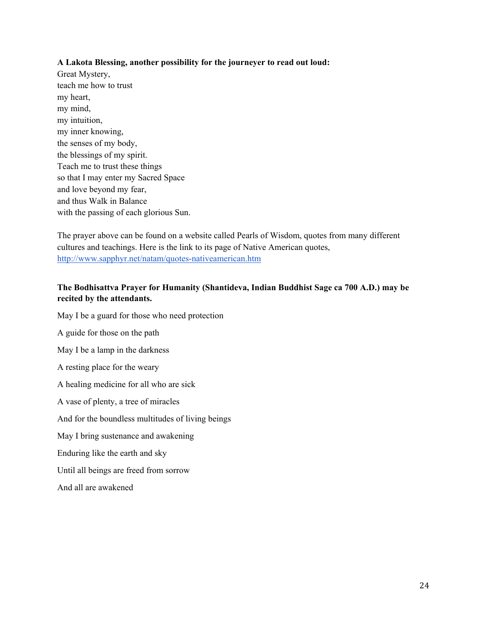# **A Lakota Blessing, another possibility for the journeyer to read out loud:**

Great Mystery, teach me how to trust my heart, my mind, my intuition, my inner knowing, the senses of my body, the blessings of my spirit. Teach me to trust these things so that I may enter my Sacred Space and love beyond my fear, and thus Walk in Balance with the passing of each glorious Sun.

The prayer above can be found on a website called Pearls of Wisdom, quotes from many different cultures and teachings. Here is the link to its page of Native American quotes, <http://www.sapphyr.net/natam/quotes-nativeamerican.htm>

# **The Bodhisattva Prayer for Humanity (Shantideva, Indian Buddhist Sage ca 700 A.D.) may be recited by the attendants.**

May I be a guard for those who need protection A guide for those on the path May I be a lamp in the darkness A resting place for the weary A healing medicine for all who are sick A vase of plenty, a tree of miracles And for the boundless multitudes of living beings May I bring sustenance and awakening Enduring like the earth and sky Until all beings are freed from sorrow

And all are awakened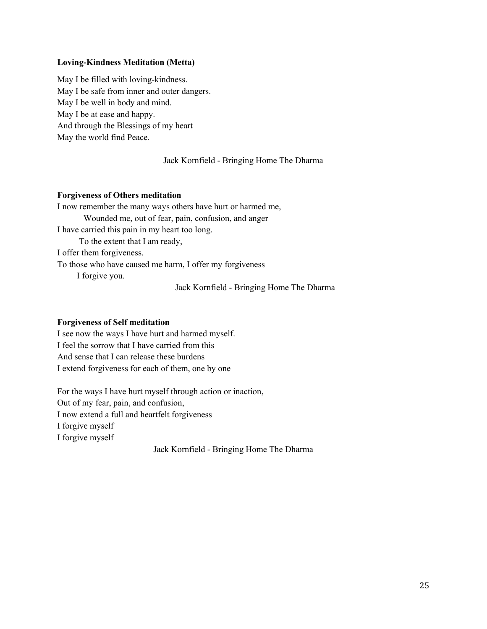# **Loving-Kindness Meditation (Metta)**

May I be filled with loving-kindness. May I be safe from inner and outer dangers. May I be well in body and mind. May I be at ease and happy. And through the Blessings of my heart May the world find Peace.

# Jack Kornfield - Bringing Home The Dharma

## **Forgiveness of Others meditation**

I now remember the many ways others have hurt or harmed me, Wounded me, out of fear, pain, confusion, and anger I have carried this pain in my heart too long. To the extent that I am ready, I offer them forgiveness. To those who have caused me harm, I offer my forgiveness I forgive you. Jack Kornfield - Bringing Home The Dharma

## **Forgiveness of Self meditation**

I see now the ways I have hurt and harmed myself. I feel the sorrow that I have carried from this And sense that I can release these burdens I extend forgiveness for each of them, one by one

For the ways I have hurt myself through action or inaction, Out of my fear, pain, and confusion, I now extend a full and heartfelt forgiveness I forgive myself I forgive myself

Jack Kornfield - Bringing Home The Dharma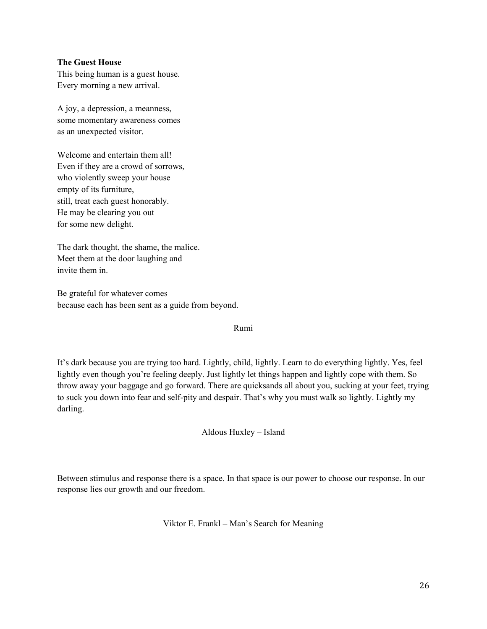# **The Guest House**

This being human is a guest house. Every morning a new arrival.

A joy, a depression, a meanness, some momentary awareness comes as an unexpected visitor.

Welcome and entertain them all! Even if they are a crowd of sorrows, who violently sweep your house empty of its furniture, still, treat each guest honorably. He may be clearing you out for some new delight.

The dark thought, the shame, the malice. Meet them at the door laughing and invite them in.

Be grateful for whatever comes because each has been sent as a guide from beyond.

# Rumi

It's dark because you are trying too hard. Lightly, child, lightly. Learn to do everything lightly. Yes, feel lightly even though you're feeling deeply. Just lightly let things happen and lightly cope with them. So throw away your baggage and go forward. There are quicksands all about you, sucking at your feet, trying to suck you down into fear and self-pity and despair. That's why you must walk so lightly. Lightly my darling.

Aldous Huxley – Island

Between stimulus and response there is a space. In that space is our power to choose our response. In our response lies our growth and our freedom.

Viktor E. Frankl – Man's Search for Meaning